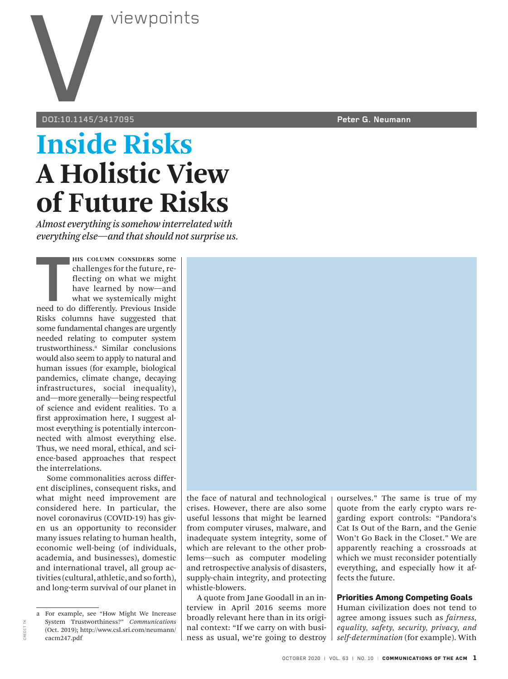

**doi:10.1145/3417095 Peter G. Neumann**

## **Inside Risks A Holistic View of Future Risks**

*Almost everything is somehow interrelated with everything else—and that should not surprise us.*

**THE SCIUMN CONSIDERS SOME CHARGE CONTROLLER CHAPTED TO A THE SCIENCE IS A THEOREM WE USE CONTROLLER THE SCHOOL OF THE SCHOOL OF THE SCIENCE THAT THE SCHOOL OF THE SCHOOL OF THE SCHOOL OF THE SCHOOL OF THE SCHOOL OF THE SC his column considers** some challenges for the future, reflecting on what we might have learned by now—and what we systemically might Risks columns have suggested that some fundamental changes are urgently needed relating to computer system trustworthiness.<sup>a</sup> Similar conclusions would also seem to apply to natural and human issues (for example, biological pandemics, climate change, decaying infrastructures, social inequality), and—more generally—being respectful of science and evident realities. To a first approximation here, I suggest almost everything is potentially interconnected with almost everything else. Thus, we need moral, ethical, and science-based approaches that respect the interrelations.

Some commonalities across different disciplines, consequent risks, and what might need improvement are considered here. In particular, the novel coronavirus (COVID-19) has given us an opportunity to reconsider many issues relating to human health, economic well-being (of individuals, academia, and businesses), domestic and international travel, all group activities (cultural, athletic, and so forth), and long-term survival of our planet in

the face of natural and technological crises. However, there are also some useful lessons that might be learned from computer viruses, malware, and inadequate system integrity, some of which are relevant to the other problems—such as computer modeling and retrospective analysis of disasters, supply-chain integrity, and protecting whistle-blowers.

A quote from Jane Goodall in an interview in April 2016 seems more broadly relevant here than in its original context: "If we carry on with business as usual, we're going to destroy ourselves." The same is true of my quote from the early crypto wars regarding export controls: "Pandora's Cat Is Out of the Barn, and the Genie Won't Go Back in the Closet." We are apparently reaching a crossroads at which we must reconsider potentially everything, and especially how it affects the future.

#### **Priorities Among Competing Goals**

Human civilization does not tend to agree among issues such as *fairness, equality, safety, security, privacy, and self-determination* (for example). With

a For example, see "How Might We Increase System Trustworthiness?" *Communications* (Oct. 2019); http://www.csl.sri.com/neumann/ cacm247.pdf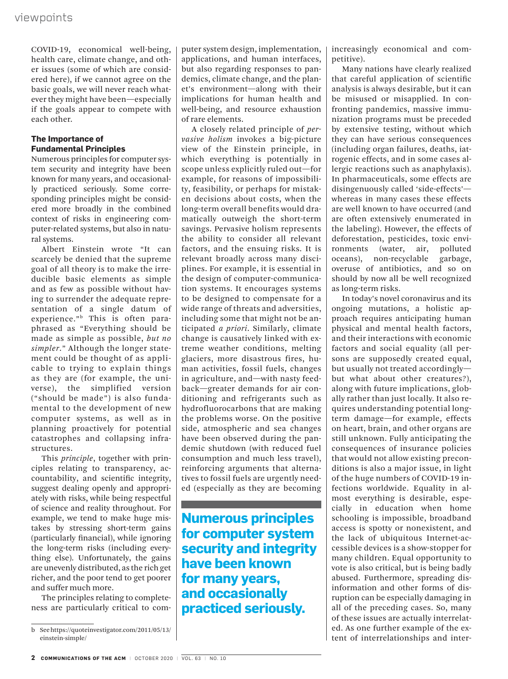COVID-19, economical well-being, health care, climate change, and other issues (some of which are considered here), if we cannot agree on the basic goals, we will never reach whatever they might have been—especially if the goals appear to compete with each other.

#### **The Importance of Fundamental Principles**

Numerous principles for computer system security and integrity have been known for many years, and occasionally practiced seriously. Some corresponding principles might be considered more broadly in the combined context of risks in engineering computer-related systems, but also in natural systems.

Albert Einstein wrote "It can scarcely be denied that the supreme goal of all theory is to make the irreducible basic elements as simple and as few as possible without having to surrender the adequate representation of a single datum of experience."<sup>b</sup> This is often paraphrased as "Everything should be made as simple as possible, *but no simpler*." Although the longer statement could be thought of as applicable to trying to explain things as they are (for example, the universe), the simplified version ("should be made") is also fundamental to the development of new computer systems, as well as in planning proactively for potential catastrophes and collapsing infrastructures.

This *principle*, together with principles relating to transparency, accountability, and scientific integrity, suggest dealing openly and appropriately with risks, while being respectful of science and reality throughout. For example, we tend to make huge mistakes by stressing short-term gains (particularly financial), while ignoring the long-term risks (including everything else). Unfortunately, the gains are unevenly distributed, as the rich get richer, and the poor tend to get poorer and suffer much more.

The principles relating to completeness are particularly critical to computer system design, implementation, applications, and human interfaces, but also regarding responses to pandemics, climate change, and the planet's environment—along with their implications for human health and well-being, and resource exhaustion of rare elements.

A closely related principle of *pervasive holism* invokes a big-picture view of the Einstein principle, in which everything is potentially in scope unless explicitly ruled out—for example, for reasons of impossibility, feasibility, or perhaps for mistaken decisions about costs, when the long-term overall benefits would dramatically outweigh the short-term savings. Pervasive holism represents the ability to consider all relevant factors, and the ensuing risks. It is relevant broadly across many disciplines. For example, it is essential in the design of computer-communication systems. It encourages systems to be designed to compensate for a wide range of threats and adversities, including some that might not be anticipated *a priori*. Similarly, climate change is causatively linked with extreme weather conditions, melting glaciers, more disastrous fires, human activities, fossil fuels, changes in agriculture, and—with nasty feedback—greater demands for air conditioning and refrigerants such as hydrofluorocarbons that are making the problems worse. On the positive side, atmospheric and sea changes have been observed during the pandemic shutdown (with reduced fuel consumption and much less travel), reinforcing arguments that alternatives to fossil fuels are urgently needed (especially as they are becoming

**Numerous principles for computer system security and integrity have been known for many years, and occasionally practiced seriously.**

increasingly economical and competitive).

Many nations have clearly realized that careful application of scientific analysis is always desirable, but it can be misused or misapplied. In confronting pandemics, massive immunization programs must be preceded by extensive testing, without which they can have serious consequences (including organ failures, deaths, iatrogenic effects, and in some cases allergic reactions such as anaphylaxis). In pharmaceuticals, some effects are disingenuously called 'side-effects' whereas in many cases these effects are well known to have occurred (and are often extensively enumerated in the labeling). However, the effects of deforestation, pesticides, toxic environments (water, air, polluted oceans), non-recyclable garbage, overuse of antibiotics, and so on should by now all be well recognized as long-term risks.

In today's novel coronavirus and its ongoing mutations, a holistic approach requires anticipating human physical and mental health factors, and their interactions with economic factors and social equality (all persons are supposedly created equal, but usually not treated accordingly but what about other creatures?), along with future implications, globally rather than just locally. It also requires understanding potential longterm damage—for example, effects on heart, brain, and other organs are still unknown. Fully anticipating the consequences of insurance policies that would not allow existing preconditions is also a major issue, in light of the huge numbers of COVID-19 infections worldwide. Equality in almost everything is desirable, especially in education when home schooling is impossible, broadband access is spotty or nonexistent, and the lack of ubiquitous Internet-accessible devices is a show-stopper for many children. Equal opportunity to vote is also critical, but is being badly abused. Furthermore, spreading disinformation and other forms of disruption can be especially damaging in all of the preceding cases. So, many of these issues are actually interrelated. As one further example of the extent of interrelationships and inter-

b See https://quoteinvestigator.com/2011/05/13/ einstein-simple/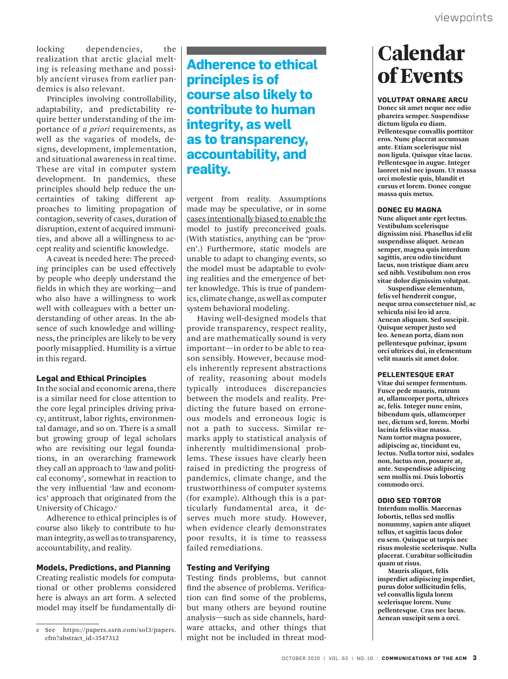locking dependencies, the realization that arctic glacial melting is releasing methane and possibly ancient viruses from earlier pandemics is also relevant.

Principles involving controllability, adaptability, and predictability require better understanding of the importance of *a priori* requirements, as well as the vagaries of models, designs, development, implementation, and situational awareness in real time. These are vital in computer system development. In pandemics, these principles should help reduce the uncertainties of taking different approaches to limiting propagation of contagion, severity of cases, duration of disruption, extent of acquired immunities, and above all a willingness to accept reality and scientific knowledge.

A caveat is needed here: The preceding principles can be used effectively by people who deeply understand the fields in which they are working—and who also have a willingness to work well with colleagues with a better understanding of other areas. In the absence of such knowledge and willingness, the principles are likely to be very poorly misapplied. Humility is a virtue in this regard.

#### **Legal and Ethical Principles**

In the social and economic arena, there is a similar need for close attention to the core legal principles driving privacy, antitrust, labor rights, environmental damage, and so on. There is a small but growing group of legal scholars who are revisiting our legal foundations, in an overarching framework they call an approach to 'law and political economy', somewhat in reaction to the very influential 'law and economics' approach that originated from the University of Chicago.<sup>c</sup>

Adherence to ethical principles is of course also likely to contribute to human integrity, as well as to transparency, accountability, and reality.

#### **Models, Predictions, and Planning**

Creating realistic models for computational or other problems considered here is always an art form. A selected model may itself be fundamentally di**Adherence to ethical principles is of course also likely to contribute to human integrity, as well as to transparency, accountability, and reality.**

vergent from reality. Assumptions made may be speculative, or in some cases intentionally biased to enable the model to justify preconceived goals. (With statistics, anything can be 'proven'.) Furthermore, static models are unable to adapt to changing events, so the model must be adaptable to evolving realities and the emergence of better knowledge. This is true of pandemics, climate change, as well as computer system behavioral modeling.

Having well-designed models that provide transparency, respect reality, and are mathematically sound is very important—in order to be able to reason sensibly. However, because models inherently represent abstractions of reality, reasoning about models typically introduces discrepancies between the models and reality. Predicting the future based on erroneous models and erroneous logic is not a path to success. Similar remarks apply to statistical analysis of inherently multidimensional problems. These issues have clearly been raised in predicting the progress of pandemics, climate change, and the trustworthiness of computer systems (for example). Although this is a particularly fundamental area, it deserves much more study. However, when evidence clearly demonstrates poor results, it is time to reassess failed remediations.

#### **Testing and Verifying**

Testing finds problems, but cannot find the absence of problems. Verification can find some of the problems, but many others are beyond routine analysis—such as side channels, hardware attacks, and other things that might not be included in threat mod-

## **Calendar** of Events

#### **volutpat ornare arcu**

**Donec sit amet neque nec odio pharetra semper. Suspendisse dictum ligula eu diam. Pellentesque convallis porttitor eros. Nunc placerat accumsan ante. Etiam scelerisque nisl non ligula. Quisque vitae lacus. Pellentesque in augue. Integer laoreet nisl nec ipsum. Ut massa orci molestie quis, blandit et cursus et lorem. Donec congue massa quis metus.** 

#### **Donec eu magna**

**Nunc aliquet ante eget lectus. Vestibulum scelerisque dignissim nisi. Phasellus id elit suspendisse aliquet. Aenean semper, magna quis interdum sagittis, arcu odio tincidunt lacus, non tristique diam arcu sed nibh. Vestibulum non eros vitae dolor dignissim volutpat.** 

**Suspendisse elementum, felis vel hendrerit congue, neque urna consectetuer nisl, ac vehicula nisi leo id arcu. Aenean aliquam. Sed suscipit. Quisque semper justo sed leo. Aenean porta, diam non pellentesque pulvinar, ipsum orci ultrices dui, in elementum velit mauris sit amet dolor.** 

#### **Pellentesque erat**

**Vitae dui semper fermentum. Fusce pede mauris, rutrum at, ullamcorper porta, ultrices ac, felis. Integer nunc enim, bibendum quis, ullamcorper nec, dictum sed, lorem. Morbi lacinia felis vitae massa. Nam tortor magna posuere, adipiscing ac, tincidunt eu, lectus. Nulla tortor nisi, sodales non, luctus non, posuere at, ante. Suspendisse adipiscing sem mollis mi. Duis lobortis commodo orci.**

#### **odio sed tortor**

**Interdum mollis. Maecenas lobortis, tellus sed mollis nonummy, sapien ante aliquet tellus, et sagittis lacus dolor eu sem. Quisque ut turpis nec risus molestie scelerisque. Nulla placerat. Curabitur sollicitudin quam ut risus.** 

**Mauris aliquet, felis imperdiet adipiscing imperdiet, purus dolor sollicitudin felis, vel convallis ligula lorem scelerisque lorem. Nunc pellentesque. Cras nec lacus. Aenean suscipit sem a orci.** 

c See https://papers.ssrn.com/sol3/papers. cfm?abstract\_id=3547312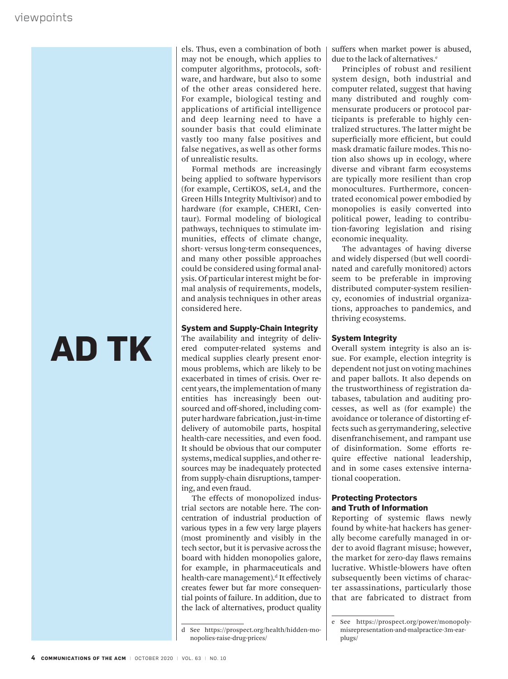# **AD TK**

els. Thus, even a combination of both may not be enough, which applies to computer algorithms, protocols, software, and hardware, but also to some of the other areas considered here. For example, biological testing and applications of artificial intelligence and deep learning need to have a sounder basis that could eliminate vastly too many false positives and false negatives, as well as other forms of unrealistic results.

Formal methods are increasingly being applied to software hypervisors (for example, CertiKOS, seL4, and the Green Hills Integrity Multivisor) and to hardware (for example, CHERI, Centaur). Formal modeling of biological pathways, techniques to stimulate immunities, effects of climate change, short- versus long-term consequences, and many other possible approaches could be considered using formal analysis. Of particular interest might be formal analysis of requirements, models, and analysis techniques in other areas considered here.

#### **System and Supply-Chain Integrity**

The availability and integrity of delivered computer-related systems and medical supplies clearly present enormous problems, which are likely to be exacerbated in times of crisis. Over recent years, the implementation of many entities has increasingly been outsourced and off-shored, including computer hardware fabrication, just-in-time delivery of automobile parts, hospital health-care necessities, and even food. It should be obvious that our computer systems, medical supplies, and other resources may be inadequately protected from supply-chain disruptions, tampering, and even fraud.

The effects of monopolized industrial sectors are notable here. The concentration of industrial production of various types in a few very large players (most prominently and visibly in the tech sector, but it is pervasive across the board with hidden monopolies galore, for example, in pharmaceuticals and health-care management).<sup>d</sup> It effectively creates fewer but far more consequential points of failure. In addition, due to the lack of alternatives, product quality

d See https://prospect.org/health/hidden-monopolies-raise-drug-prices/

suffers when market power is abused, due to the lack of alternatives.<sup>e</sup>

Principles of robust and resilient system design, both industrial and computer related, suggest that having many distributed and roughly commensurate producers or protocol participants is preferable to highly centralized structures. The latter might be superficially more efficient, but could mask dramatic failure modes. This notion also shows up in ecology, where diverse and vibrant farm ecosystems are typically more resilient than crop monocultures. Furthermore, concentrated economical power embodied by monopolies is easily converted into political power, leading to contribution-favoring legislation and rising economic inequality.

The advantages of having diverse and widely dispersed (but well coordinated and carefully monitored) actors seem to be preferable in improving distributed computer-system resiliency, economies of industrial organizations, approaches to pandemics, and thriving ecosystems.

#### **System Integrity**

Overall system integrity is also an issue. For example, election integrity is dependent not just on voting machines and paper ballots. It also depends on the trustworthiness of registration databases, tabulation and auditing processes, as well as (for example) the avoidance or tolerance of distorting effects such as gerrymandering, selective disenfranchisement, and rampant use of disinformation. Some efforts require effective national leadership, and in some cases extensive international cooperation.

#### **Protecting Protectors and Truth of Information**

Reporting of systemic flaws newly found by white-hat hackers has generally become carefully managed in order to avoid flagrant misuse; however, the market for zero-day flaws remains lucrative. Whistle-blowers have often subsequently been victims of character assassinations, particularly those that are fabricated to distract from

e See https://prospect.org/power/monopolymisrepresentation-and-malpractice-3m-earplugs/